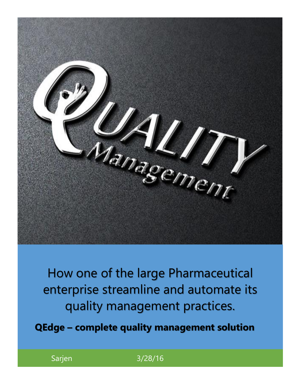

How one of the large Pharmaceutical enterprise streamline and automate its quality management practices.

**QEdge – complete quality management solution**

Sarjen 3/28/16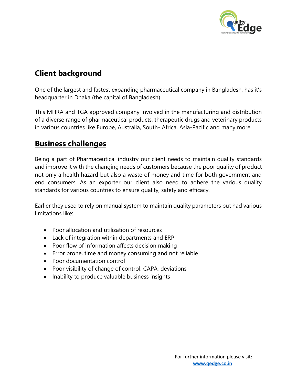

# **Client background**

One of the largest and fastest expanding pharmaceutical company in Bangladesh, has it's headquarter in Dhaka (the capital of Bangladesh).

This MHRA and TGA approved company involved in the manufacturing and distribution of a diverse range of pharmaceutical products, therapeutic drugs and veterinary products in various countries like Europe, Australia, South- Africa, Asia-Pacific and many more.

## **Business challenges**

Being a part of Pharmaceutical industry our client needs to maintain quality standards and improve it with the changing needs of customers because the poor quality of product not only a health hazard but also a waste of money and time for both government and end consumers. As an exporter our client also need to adhere the various quality standards for various countries to ensure quality, safety and efficacy.

Earlier they used to rely on manual system to maintain quality parameters but had various limitations like:

- Poor allocation and utilization of resources
- Lack of integration within departments and ERP
- Poor flow of information affects decision making
- Error prone, time and money consuming and not reliable
- Poor documentation control
- Poor visibility of change of control, CAPA, deviations
- Inability to produce valuable business insights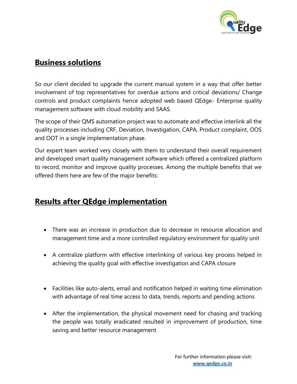

### **Business solutions**

So our client decided to upgrade the current manual system in a way that offer better involvement of top representatives for overdue actions and critical deviations/ Change controls and product complaints hence adopted web based QEdge- Enterprise quality management software with cloud mobility and SAAS.

The scope of their QMS automation project was to automate and effective interlink all the quality processes including CRF, Deviation, Investigation, CAPA, Product complaint, OOS and OOT in a single implementation phase.

Our expert team worked very closely with them to understand their overall requirement and developed smart quality management software which offered a centralized platform to record, monitor and improve quality processes. Among the multiple benefits that we offered them here are few of the major benefits:

### **Results after QEdge implementation**

- There was an increase in production due to decrease in resource allocation and management time and a more controlled regulatory environment for quality unit
- A centralize platform with effective interlinking of various key process helped in achieving the quality goal with effective investigation and CAPA closure
- Facilities like auto-alerts, email and notification helped in waiting time elimination with advantage of real time access to data, trends, reports and pending actions
- After the implementation, the physical movement need for chasing and tracking the people was totally eradicated resulted in improvement of production, time saving and better resource management